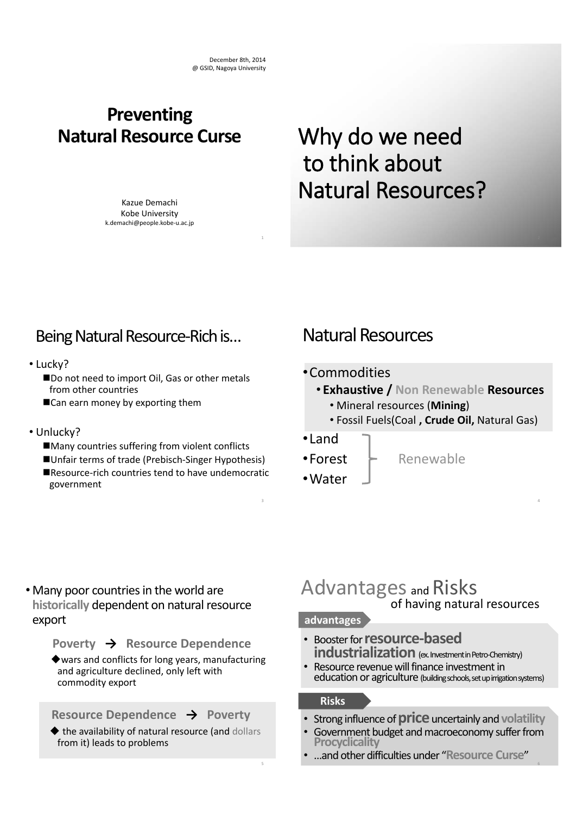1

3

5

### **Preventing Natural Resource Curse**

Kazue Demachi Kobe University k.demachi@people.kobe-u.ac.jp

# Why do we need to think about Natural Resources?

### Being Natural Resource-Rich is…

- Lucky?
	- Do not need to import Oil, Gas or other metals from other countries
	- Can earn money by exporting them
- Unlucky?
	- Many countries suffering from violent conflicts
	- Unfair terms of trade (Prebisch-Singer Hypothesis) Resource-rich countries tend to have undemocratic government

### Natural Resources

#### •Commodities

- **Exhaustive / Non Renewable Resources**
	- Mineral resources (**Mining**)
	- Fossil Fuels(Coal **, Crude Oil,** Natural Gas)

4

6

#### •Land

- $\bullet$ Forest  $\vdash$  Renewable
- •Water

• Many poor countries in the world are **historically** dependent on natural resource export

**Poverty**  $\rightarrow$  **Resource Dependence** 

wars and conflicts for long years, manufacturing and agriculture declined, only left with commodity export

**Resource Dependence**  $\rightarrow$  **Poverty** 

 $\blacklozenge$  the availability of natural resource (and dollars from it) leads to problems

#### Advantages and Risks of having natural resources

#### **advantages**

- Booster for **resource-based industrialization** (ex. Investment in Petro-Chemistry)
- Resource revenue will finance investment in education or agriculture (building schools, set up irrigation systems)

#### **Risks**

- Strong influence of **price** uncertainly and **volatility**<br>• Government budget and macroeconomy suffer from
- **Procyclicality**
- …and other difficulties under "**Resource Curse**"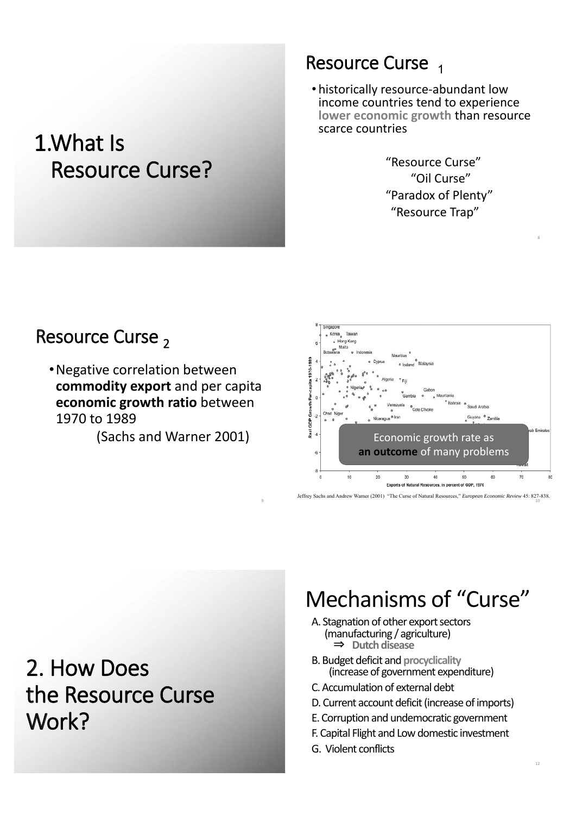## 1.What Is Resource Curse?

### Resource Curse

• historically resource-abundant low income countries tend to experience **lower economic growth** than resource scarce countries

> "Resource Curse" "Oil Curse" "Paradox of Plenty" "Resource Trap"

## Resource Curse 2

•Negative correlation between **commodity export** and per capita **economic growth ratio** between 1970 to 1989

(Sachs and Warner 2001)



<sup>9</sup> Jeffrey Sachs and Andrew Warner (2001) "The Curse of Natural Resources," *European Economic Review* 45: 827-838. 10

2. How Does the Resource Curse Work?

## Mechanisms of "Curse"

- A. Stagnation of other export sectors (manufacturing / agriculture) э **Dutch disease**
- B. Budget deficit and **procyclicality** (increase of government expenditure)
- C. Accumulation of external debt
- D. Current account deficit (increase of imports)
- E. Corruption and undemocratic government
- F. Capital Flight and Low domestic investment
- G. Violent conflicts

8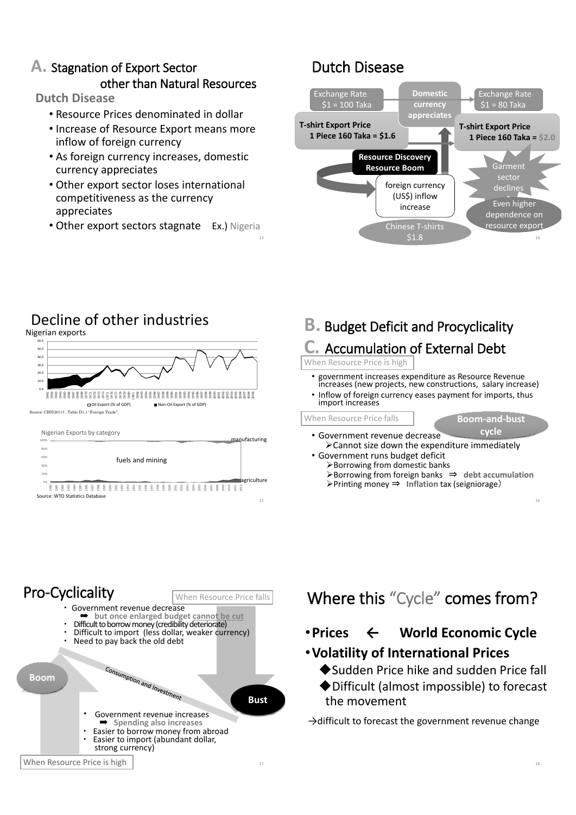### **A.** Stagnation of Export Sector other than Natural Resources

**Dutch Disease**

- Resource Prices denominated in dollar
- Increase of Resource Export means more inflow of foreign currency
- As foreign currency increases, domestic currency appreciates
- Other export sector loses international competitiveness as the currency appreciates
- Other export sectors stagnate Ex.) Nigeria

### Dutch Disease



### Decline of other industries

Nigerian exports



### **B.** Budget Deficit and Procyclicality

### **C.** Accumulation of External Debt

When Resource Price is high

- government increases expenditure as Resource Revenue increases (new projects, new constructions, salary increase)
- Inflow of foreign currency eases payment for imports, thus import increases

• Government revenue decrease When Resource Price falls

- **Example 2 Resource Price falls**<br> **Example 3 Resource the expenditure immediately**<br> **Example 3 Resource immediately cycle**
- Government runs budget deficit  $\triangleright$  Borrowing from domestic banks
	- ¾Borrowing from foreign banks э **debt accumulation** ¾Printing money э **Inflation** tax (seigniorage䠅



## Where this "Cycle" comes from?

•**Prices і World Economic Cycle**

#### •**Volatility of International Prices**

- ◆Sudden Price hike and sudden Price fall
- Difficult (almost impossible) to forecast the movement

 $\rightarrow$  difficult to forecast the government revenue change

16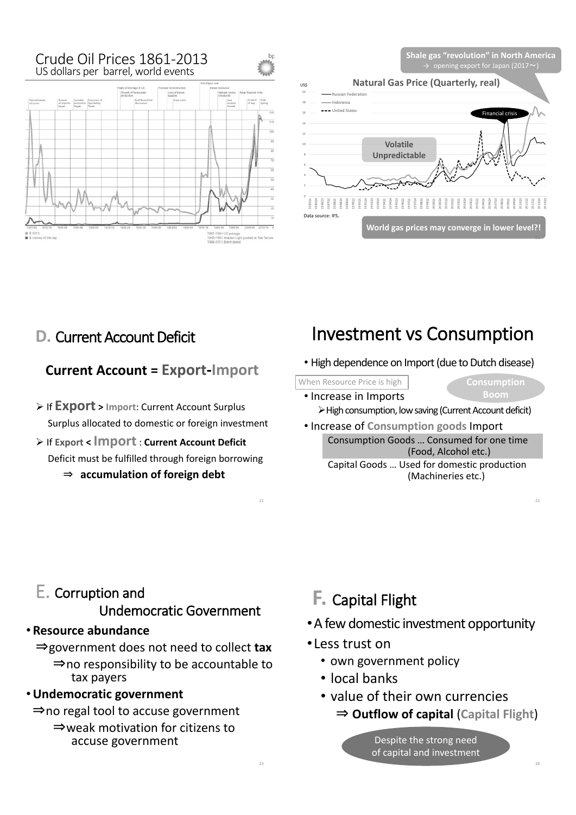#### Crude Oil Prices 1861-2013 US dollars per barrel, world events



**Shale gas "revolution" in North America**



### **D.** Current Account Deficit

#### **Current Account = Export-Import**

- ¾ If **Export > Import**: Current Account Surplus Surplus allocated to domestic or foreign investment
- ¾ If **Export < Import**: **Current Account Deficit** Deficit must be fulfilled through foreign borrowing э **accumulation of foreign debt**

## Investment vs Consumption

- High dependence on Import (due to Dutch disease)
- When Resource Price is high **Consumption** 
	-
	- Increase in Imports ¾High consumption, low saving (Current Account deficit)
	- Increase of **Consumption goods** Import Consumption Goods … Consumed for one time (Food, Alcohol etc.) Capital Goods … Used for domestic production (Machineries etc.)

### E. Corruption and Undemocratic Government

#### • **Resource abundance**

эgovernment does not need to collect **tax**  $\Rightarrow$  no responsibility to be accountable to tax payers

#### •**Undemocratic government**

- $\Rightarrow$  no regal tool to accuse government
	- $\Rightarrow$  weak motivation for citizens to accuse government

### **F.** Capital Flight

- •A few domestic investment opportunity
- •Less trust on

23

- own government policy
- local banks
- value of their own currencies
	- э **Outflow of capital** (**Capital Flight**)

Despite the strong need of capital and investment 22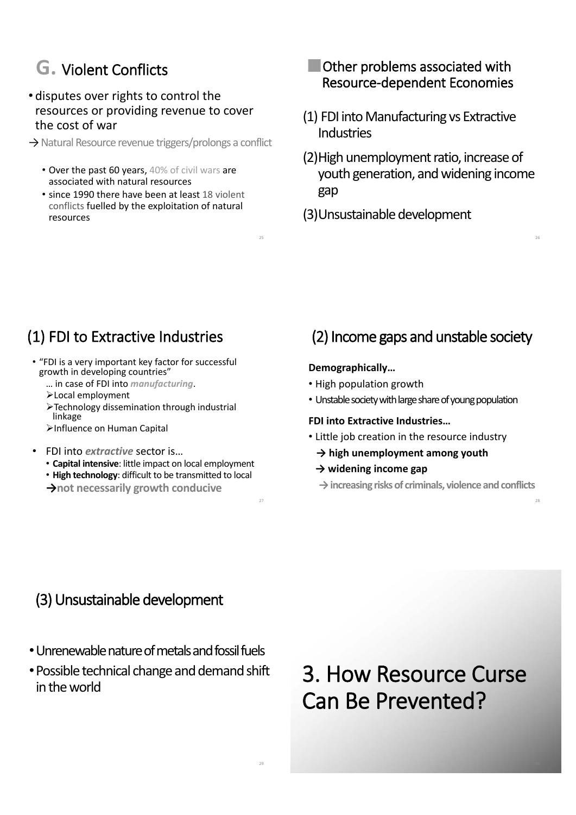### **G.** Violent Conflicts

#### • disputes over rights to control the resources or providing revenue to cover the cost of war

- $\rightarrow$  Natural Resource revenue triggers/prolongs a conflict
	- Over the past 60 years, 40% of civil wars are associated with natural resources
	- since 1990 there have been at least 18 violent conflicts fuelled by the exploitation of natural resources

#### **Other problems associated with** Resource-dependent Economies

- (1) FDI into Manufacturing vs Extractive **Industries**
- (2)High unemployment ratio, increase of youth generation, and widening income gap

26

28

(3)Unsustainable development

## (1) FDI to Extractive Industries

- "FDI is a very important key factor for successful growth in developing countries"
	- … in case of FDI into *manufacturing*.
	- ¾Local employment
	- ¾Technology dissemination through industrial linkage
	- ¾Influence on Human Capital
- FDI into *extractive* sector is…
	- **Capital intensive**: little impact on local employment
	- **High technology**: difficult to be transmitted to local
	- **їnot necessarily growth conducive**

## (2) Income gaps and unstable society

#### **Demographically…**

25

29

- High population growth
- Unstable society with large share of young population

#### **FDI into Extractive Industries…**

- Little job creation in the resource industry
	- **ї high unemployment among youth**
	- **їwidening income gap**
	- **їincreasing risks of criminals, violence and conflicts**

### (3) Unsustainable development

- •Unrenewable nature of metals and fossil fuels
- •Possible technical change and demand shift in the world

3. How Resource Curse Can Be Prevented?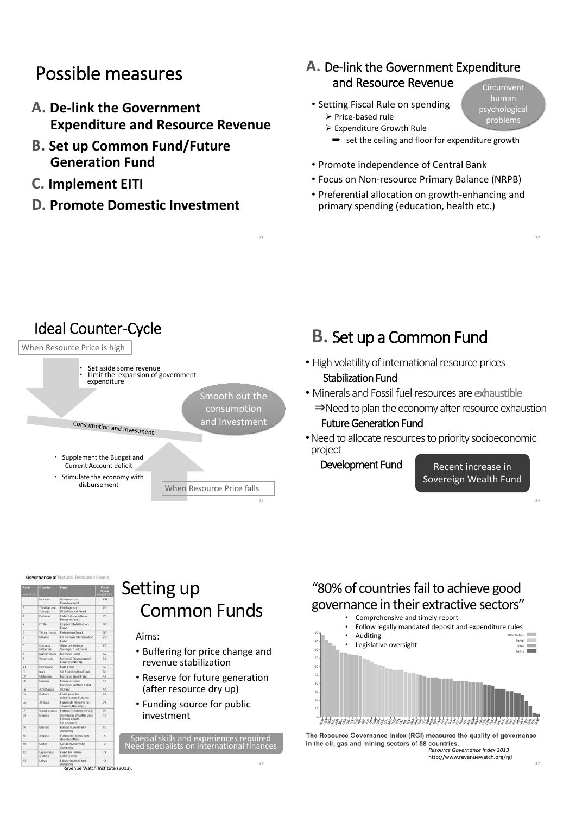### Possible measures

- **A. De-link the Government Expenditure and Resource Revenue**
- **B. Set up Common Fund/Future Generation Fund**
- **C. Implement EITI**
- **D. Promote Domestic Investment**

#### **A.** De-link the Government Expenditure and Resource Revenue Circumvent

- Setting Fiscal Rule on spending  $\triangleright$  Price-based rule
	- $\triangleright$  Expenditure Growth Rule
		- **■** set the ceiling and floor for expenditure growth

psychological problems

32

- Promote independence of Central Bank
- Focus on Non-resource Primary Balance (NRPB)
- Preferential allocation on growth-enhancing and primary spending (education, health etc.)



31

 $\overline{a}$  $\frac{1}{96}$  $\overline{a}$  $\overline{u}$  $25$ 

**Governance of Natural Resource Fund** 

Revenue Watch Institute (2013).

### Setting up Common Funds

#### Aims:

- Buffering for price change and revenue stabilization
- Reserve for future generation (after resource dry up)
- Funding source for public investment

Special skills and experiences required Need specialists on international finances

#### "80% of countries fail to achieve good governance in their extractive sectors"



The Resource Governance Index (RGI) measures the quality of governance in the oil, gas and mining sectors of 58 countries.

*Resource Governance Index 2013*  http://www.revenuewatch.org/rgi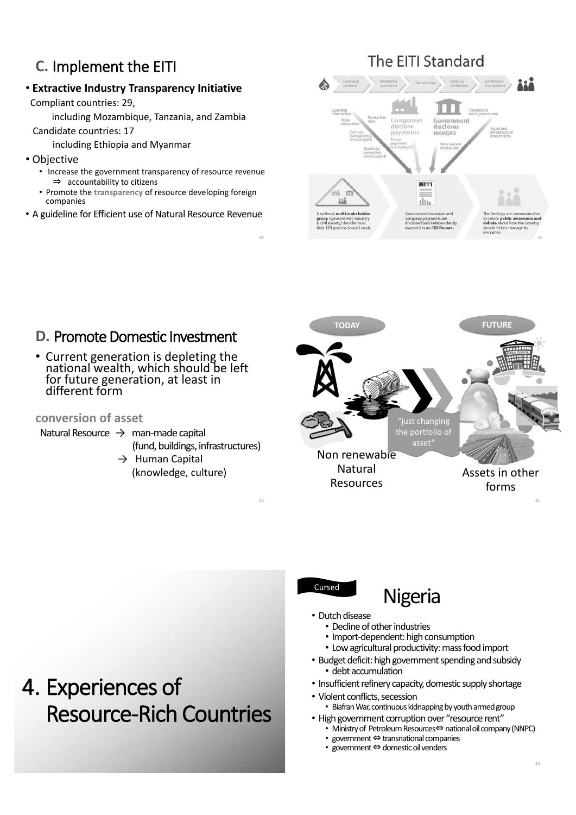### **C.** Implement the EITI

#### • **Extractive Industry Transparency Initiative**

Compliant countries: 29,

including Mozambique, Tanzania, and Zambia

Candidate countries: 17

including Ethiopia and Myanmar

- Objective
	- Increase the government transparency of resource revenue  $\Rightarrow$  accountability to citizens
	- Promote the **transparency** of resource developing foreign companies
- A guideline for Efficient use of Natural Resource Revenue

### The EITI Standard





#### **D.** Promote Domestic Investment

• Current generation is depleting the national wealth, which should be left for future generation, at least in different form

#### **conversion of asset**

- Natural Resource  $\rightarrow$  man-made capital
	- (fund, buildings, infrastructures)

40

 $\rightarrow$  Human Capital (knowledge, culture)



## Nigeria

- Dutch disease
	- Decline of other industries
	- Import-dependent: high consumption
	- Low agricultural productivity: mass food import
- Budget deficit: high government spending and subsidy • debt accumulation
- Insufficient refinery capacity, domestic supply shortage
- Violent conflicts, secession
	- Biafran War, continuous kidnapping by youth armed group
- High government corruption over "resource rent"
	- $\overline{P}$  Ministry of Petroleum Resources $\Leftrightarrow$  national oil company (NNPC)
	- government  $\Leftrightarrow$  transnational companies
	- government  $\Leftrightarrow$  domestic oil venders

## 4. Experiences of Resource-Rich Countries